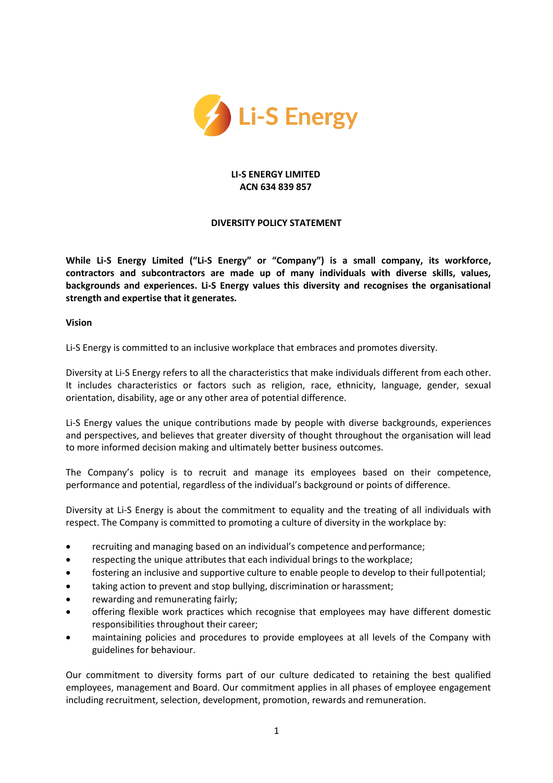

### **LI-S ENERGY LIMITED ACN 634 839 857**

# **DIVERSITY POLICY STATEMENT**

**While Li-S Energy Limited ("Li-S Energy" or "Company") is a small company, its workforce, contractors and subcontractors are made up of many individuals with diverse skills, values, backgrounds and experiences. Li-S Energy values this diversity and recognises the organisational strength and expertise that it generates.**

**Vision**

Li-S Energy is committed to an inclusive workplace that embraces and promotes diversity.

Diversity at Li-S Energy refers to all the characteristics that make individuals different from each other. It includes characteristics or factors such as religion, race, ethnicity, language, gender, sexual orientation, disability, age or any other area of potential difference.

Li-S Energy values the unique contributions made by people with diverse backgrounds, experiences and perspectives, and believes that greater diversity of thought throughout the organisation will lead to more informed decision making and ultimately better business outcomes.

The Company's policy is to recruit and manage its employees based on their competence, performance and potential, regardless of the individual's background or points of difference.

Diversity at Li-S Energy is about the commitment to equality and the treating of all individuals with respect. The Company is committed to promoting a culture of diversity in the workplace by:

- recruiting and managing based on an individual's competence and performance;
- respecting the unique attributes that each individual brings to the workplace;
- fostering an inclusive and supportive culture to enable people to develop to their full potential;
- taking action to prevent and stop bullying, discrimination or harassment;
- rewarding and remunerating fairly;
- offering flexible work practices which recognise that employees may have different domestic responsibilities throughout their career;
- maintaining policies and procedures to provide employees at all levels of the Company with guidelines for behaviour.

Our commitment to diversity forms part of our culture dedicated to retaining the best qualified employees, management and Board. Our commitment applies in all phases of employee engagement including recruitment, selection, development, promotion, rewards and remuneration.